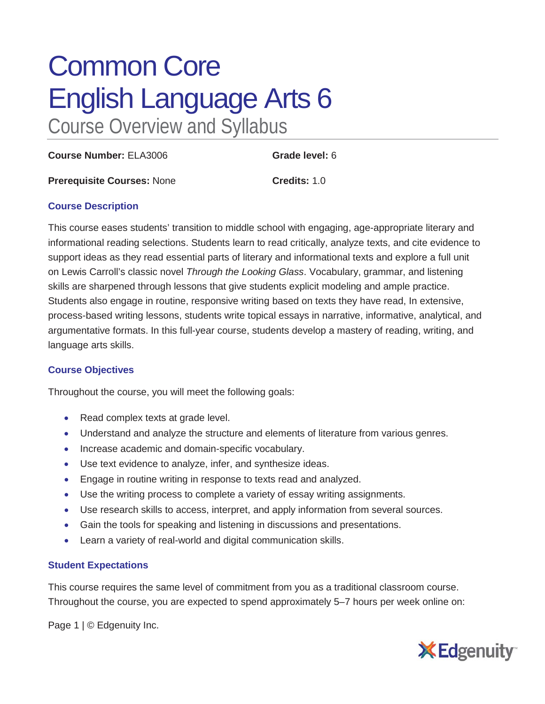# Common Core English Language Arts 6 Course Overview and Syllabus

**Course Number:** ELA3006 **Grade level:** 6

**Prerequisite Courses:** None **Credits:** 1.0

## **Course Description**

This course eases students' transition to middle school with engaging, age-appropriate literary and informational reading selections. Students learn to read critically, analyze texts, and cite evidence to support ideas as they read essential parts of literary and informational texts and explore a full unit on Lewis Carroll's classic novel *Through the Looking Glass*. Vocabulary, grammar, and listening skills are sharpened through lessons that give students explicit modeling and ample practice. Students also engage in routine, responsive writing based on texts they have read, In extensive, process-based writing lessons, students write topical essays in narrative, informative, analytical, and argumentative formats. In this full-year course, students develop a mastery of reading, writing, and language arts skills.

## **Course Objectives**

Throughout the course, you will meet the following goals:

- Read complex texts at grade level.
- Understand and analyze the structure and elements of literature from various genres.
- Increase academic and domain-specific vocabulary.
- Use text evidence to analyze, infer, and synthesize ideas.
- Engage in routine writing in response to texts read and analyzed.
- Use the writing process to complete a variety of essay writing assignments.
- Use research skills to access, interpret, and apply information from several sources.
- Gain the tools for speaking and listening in discussions and presentations.
- Learn a variety of real-world and digital communication skills.

## **Student Expectations**

This course requires the same level of commitment from you as a traditional classroom course. Throughout the course, you are expected to spend approximately 5–7 hours per week online on:

Page 1 | © Edgenuity Inc.